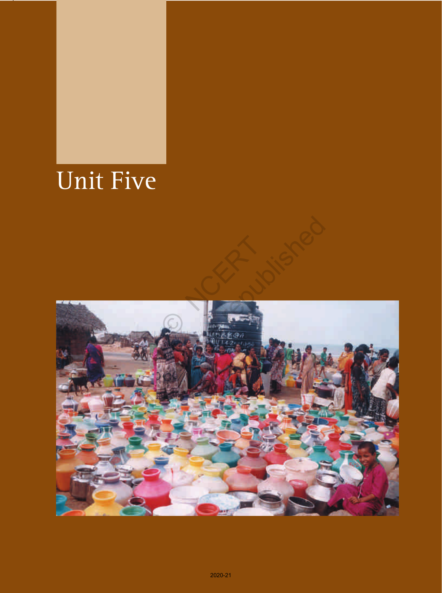## Unit Five

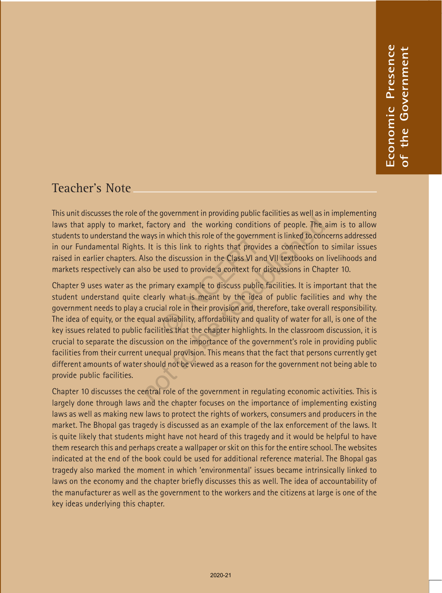### Teacher's Note

This unit discusses the role of the government in providing public facilities as well as in implementing laws that apply to market, factory and the working conditions of people. The aim is to allow students to understand the ways in which this role of the government is linked to concerns addressed in our Fundamental Rights. It is this link to rights that provides a connection to similar issues raised in earlier chapters. Also the discussion in the Class VI and VII textbooks on livelihoods and markets respectively can also be used to provide a context for discussions in Chapter 10.

Chapter 9 uses water as the primary example to discuss public facilities. It is important that the student understand quite clearly what is meant by the idea of public facilities and why the government needs to play a crucial role in their provision and, therefore, take overall responsibility. The idea of equity, or the equal availability, affordability and quality of water for all, is one of the key issues related to public facilities that the chapter highlights. In the classroom discussion, it is crucial to separate the discussion on the importance of the government's role in providing public facilities from their current unequal provision. This means that the fact that persons currently get different amounts of water should not be viewed as a reason for the government not being able to provide public facilities. In which this fole of the governme<br>s this link to rights that provide<br>he discussion in the Class VI and<br>e used to provide a context for di<br>mary example to discuss public f<br>ly what is meant by the idea c<br>ial role in their p The substitute of the government in regulating economic and the substitute of the government is linked to context is this link to rights that provides a connection to lso the discussion in the Class VI and VII textbooks on

Chapter 10 discusses the central role of the government in regulating economic activities. This is largely done through laws and the chapter focuses on the importance of implementing existing laws as well as making new laws to protect the rights of workers, consumers and producers in the market. The Bhopal gas tragedy is discussed as an example of the lax enforcement of the laws. It is quite likely that students might have not heard of this tragedy and it would be helpful to have them research this and perhaps create a wallpaper or skit on this for the entire school. The websites indicated at the end of the book could be used for additional reference material. The Bhopal gas tragedy also marked the moment in which 'environmental' issues became intrinsically linked to laws on the economy and the chapter briefly discusses this as well. The idea of accountability of the manufacturer as well as the government to the workers and the citizens at large is one of the The activity that the state of the properties of the properties are well as implementing the state of the state of the state of the state of the state of the state of the state of the state of the state of the state of the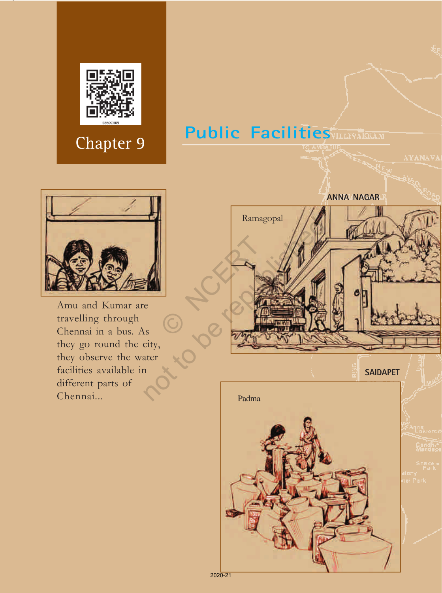

## **Public Facilities**



Amu and Kumar are travelling through Chennai in a bus. As they go round the city, they observe the water facilities available in different parts of Chennai...



2020-21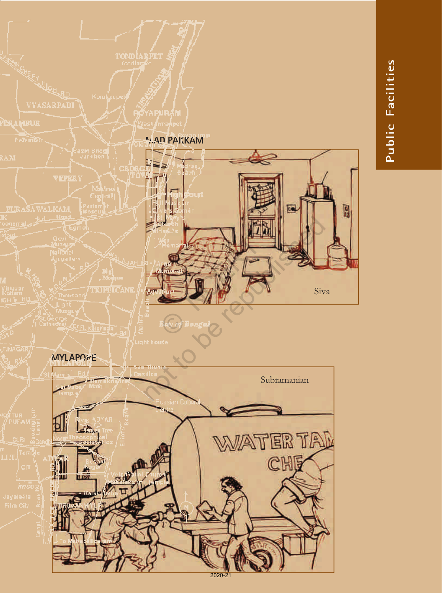

# Public Facilities **Public Facilities**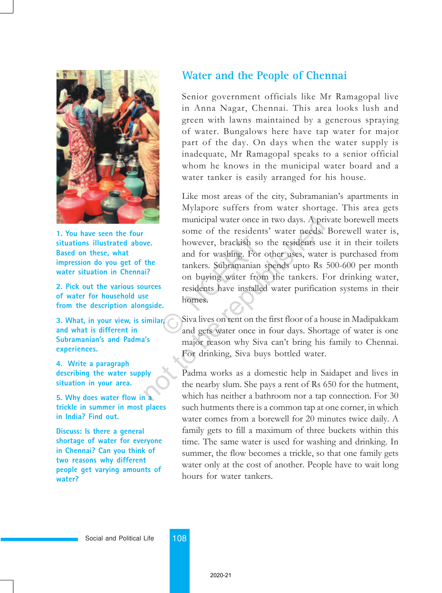

**1. You have seen the four situations illustrated above. Based on these, what impression do you get of the water situation in Chennai?**

**2. Pick out the various sources of water for household use from the description alongside.**

**3. What, in your view, is similar, and what is different in Subramanian's and Padma's experiences.**

**4. Write a paragraph describing the water supply situation in your area.**

**5. Why does water flow in a trickle in summer in most places in India? Find out.**

**Discuss: Is there a general shortage of water for everyone in Chennai? Can you think of two reasons why different people get varying amounts of water?**

#### **Water and the People of Chennai**

Senior government officials like Mr Ramagopal live in Anna Nagar, Chennai. This area looks lush and green with lawns maintained by a generous spraying of water. Bungalows here have tap water for major part of the day. On days when the water supply is inadequate, Mr Ramagopal speaks to a senior official whom he knows in the municipal water board and a water tanker is easily arranged for his house.

Like most areas of the city, Subramanian's apartments in Mylapore suffers from water shortage. This area gets municipal water once in two days. A private borewell meets some of the residents' water needs. Borewell water is, however, brackish so the residents use it in their toilets and for washing. For other uses, water is purchased from tankers. Subramanian spends upto Rs 500-600 per month on buying water from the tankers. For drinking water, residents have installed water purification systems in their homes. however, brackish so t<br>and for washing. For o<br>tankers. Subramanian s<br>on buying water from<br>residents have installed<br>homes.<br>Reconsingly some that the same set of the same set of the and gets water once in municipal water once in two days. A pri<br>
some of the residents' water needs.<br>
however, brackish so the residents us<br>
and for washing. For other uses, water<br>
the<br>
the<br>
intersecent in the tankers. Subramanian spends upto Rs<br>

Siva lives on rent on the first floor of a house in Madipakkam and gets water once in four days. Shortage of water is one major reason why Siva can't bring his family to Chennai. For drinking, Siva buys bottled water.

Padma works as a domestic help in Saidapet and lives in the nearby slum. She pays a rent of Rs 650 for the hutment, which has neither a bathroom nor a tap connection. For 30 such hutments there is a common tap at one corner, in which water comes from a borewell for 20 minutes twice daily. A family gets to fill a maximum of three buckets within this time. The same water is used for washing and drinking. In summer, the flow becomes a trickle, so that one family gets water only at the cost of another. People have to wait long hours for water tankers.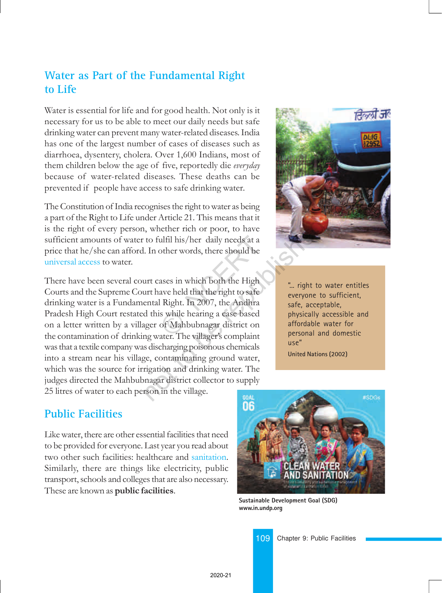#### **Water as Part of the Fundamental Right to Life**

Water is essential for life and for good health. Not only is it necessary for us to be able to meet our daily needs but safe drinking water can prevent many water-related diseases. India has one of the largest number of cases of diseases such as diarrhoea, dysentery, cholera. Over 1,600 Indians, most of them children below the age of five, reportedly die everyday because of water-related diseases. These deaths can be prevented if people have access to safe drinking water.

The Constitution of India recognises the right to water as being a part of the Right to Life under Article 21. This means that it is the right of every person, whether rich or poor, to have sufficient amounts of water to fulfil his/her daily needs at a price that he/she can afford. In other words, there should be universal access to water.

There have been several court cases in which both the High Courts and the Supreme Court have held that the right to safe drinking water is a Fundamental Right. In 2007, the Andhra Pradesh High Court restated this while hearing a case based on a letter written by a villager of Mahbubnagar district on the contamination of drinking water. The villager's complaint was that a textile company was discharging poisonous chemicals into a stream near his village, contaminating ground water, which was the source for irrigation and drinking water. The judges directed the Mahbubnagar district collector to supply 25 litres of water to each person in the village. ulfil his/her daily needs at a<br>other words, there should be<br>ases in which both the High<br>ave held that the right to safe<br>I Right. In 2007, the Andhra<br>is while hearing a case based<br>of Mahbubnagar district on<br>ater The village note Article 21. This means that it,<br>
i, whether rich or poor, to have<br>
to fulfil his/her daily needs at a<br>
L. In other words, there should be<br>
urt cases in which both the High<br>
urt have held that the right to safe<br>
ental



"... right to water entitles everyone to sufficient, safe, acceptable, physically accessible and affordable water for personal and domestic use" **United Nations (2002)**

**Public Facilities**

Like water, there are other essential facilities that need to be provided for everyone. Last year you read about two other such facilities: healthcare and sanitation. Similarly, there are things like electricity, public transport, schools and colleges that are also necessary. These are known as **public facilities**.



**Sustainable Development Goal (SDG) www.in.undp.org**

109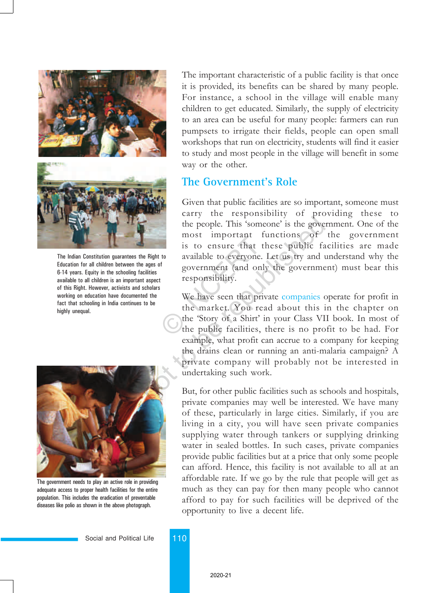



The Indian Constitution guarantees the Right to Education for all children between the ages of 6-14 years. Equity in the schooling facilities available to all children is an important aspect of this Right. However, activists and scholars working on education have documented the fact that schooling in India continues to be highly unequal.



The government needs to play an active role in providing adequate access to proper health facilities for the entire population. This includes the eradication of preventable diseases like polio as shown in the above photograph.

The important characteristic of a public facility is that once it is provided, its benefits can be shared by many people. For instance, a school in the village will enable many children to get educated. Similarly, the supply of electricity to an area can be useful for many people: farmers can run pumpsets to irrigate their fields, people can open small workshops that run on electricity, students will find it easier to study and most people in the village will benefit in some way or the other.

#### **The Government's Role**

Given that public facilities are so important, someone must carry the responsibility of providing these to the people. This 'someone' is the government. One of the most important functions of the government is to ensure that these public facilities are made available to everyone. Let us try and understand why the government (and only the government) must bear this responsibility. most important run<br>is to ensure that the<br>available to everyone. I<br>government (and only<br>responsibility.<br>We have seen that privic<br>the market. You read<br>the "Story of a Shirt' in<br>the public facilities, the

We have seen that private companies operate for profit in the market. You read about this in the chapter on the 'Story of a Shirt' in your Class VII book. In most of the public facilities, there is no profit to be had. For example, what profit can accrue to a company for keeping the drains clean or running an anti-malaria campaign? A private company will probably not be interested in undertaking such work. the people. This 'someone' is the governoone' is the governoone' is the governoone of is to ensure that these public fa<br> **E** Right to available to everyone. Let us try and a ages of government (and only the government and

But, for other public facilities such as schools and hospitals, private companies may well be interested. We have many of these, particularly in large cities. Similarly, if you are living in a city, you will have seen private companies supplying water through tankers or supplying drinking water in sealed bottles. In such cases, private companies provide public facilities but at a price that only some people can afford. Hence, this facility is not available to all at an affordable rate. If we go by the rule that people will get as much as they can pay for then many people who cannot afford to pay for such facilities will be deprived of the opportunity to live a decent life.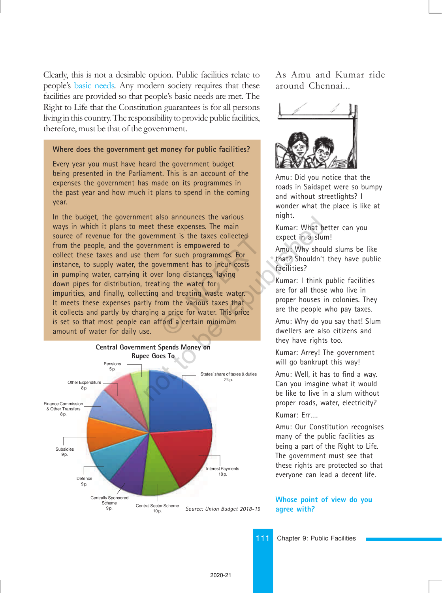Clearly, this is not a desirable option. Public facilities relate to people's basic needs. Any modern society requires that these facilities are provided so that people's basic needs are met. The Right to Life that the Constitution guarantees is for all persons living in this country. The responsibility to provide public facilities, therefore, must be that of the government.

#### **Where does the government get money for public facilities?**

Every year you must have heard the government budget being presented in the Parliament. This is an account of the expenses the government has made on its programmes in the past year and how much it plans to spend in the coming year.

In the budget, the government also announces the various ways in which it plans to meet these expenses. The main source of revenue for the government is the taxes collected from the people, and the government is empowered to collect these taxes and use them for such programmes. For instance, to supply water, the government has to incur costs in pumping water, carrying it over long distances, laying down pipes for distribution, treating the water for impurities, and finally, collecting and treating waste water. It meets these expenses partly from the various taxes that it collects and partly by charging a price for water. This price is set so that most people can afford a certain minimum amount of water for daily use. ment is the taxes collected<br>ment is empowered to<br>for such programmes. For<br>vernment has to incur costs<br>er long distances, laying<br>ting the water for<br>and treating waste water.<br>com the various taxes that<br>a price for water. Thi end a certain minimum<br>
States' share of these collected<br>
them for such programmes. For<br>
the government has to incur costs<br>
it over long distances, laying<br>
treating the water for<br>
that? Shouldn't<br>
facilities?<br>
Kumar: I thin



As Amu and Kumar ride around Chennai...



Amu: Did you notice that the roads in Saidapet were so bumpy and without streetlights? I wonder what the place is like at night.

Kumar: What better can you expect in a slum!

Amu: Why should slums be like that? Shouldn't they have public facilities?

Kumar: I think public facilities are for all those who live in proper houses in colonies. They are the people who pay taxes.

Amu: Why do you say that! Slum dwellers are also citizens and they have rights too.

Kumar: Arrey! The government will go bankrupt this way!

Amu: Well, it has to find a way. Can you imagine what it would be like to live in a slum without proper roads, water, electricity? Kumar: Err….

Amu: Our Constitution recognises many of the public facilities as being a part of the Right to Life. The government must see that these rights are protected so that everyone can lead a decent life.

#### **Whose point of view do you agree with?**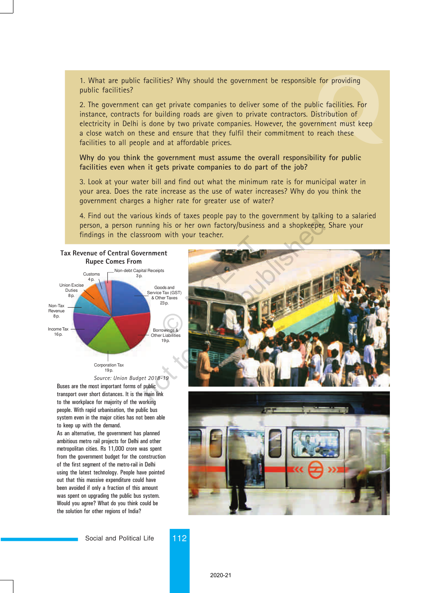1. What are public facilities? Why should the government be responsible for providing public facilities?

For providing<br>
ic facilities. For<br>
stribution of<br>
nment must keep<br>
reach these 2. The government can get private companies to deliver some of the public facilities. For instance, contracts for building roads are given to private contractors. Distribution of electricity in Delhi is done by two private companies. However, the government must keep a close watch on these and ensure that they fulfil their commitment to reach these facilities to all people and at affordable prices.

**Why do you think the government must assume the overall responsibility for public facilities even when it gets private companies to do part of the job?**

3. Look at your water bill and find out what the minimum rate is for municipal water in your area. Does the rate increase as the use of water increases? Why do you think the government charges a higher rate for greater use of water?

4. Find out the various kinds of taxes people pay to the government by talking to a salaried person, a person running his or her own factory/business and a shopkeeper. Share your findings in the classroom with your teacher.



Buses are the most important forms of public transport over short distances. It is the main link to the workplace for majority of the working people. With rapid urbanisation, the public bus system even in the major cities has not been able to keep up with the demand. *Source: Union Budget 2018-19*

As an alternative, the government has planned ambitious metro rail projects for Delhi and other metropolitan cities. Rs 11,000 crore was spent from the government budget for the construction of the first segment of the metro-rail in Delhi using the latest technology. People have pointed out that this massive expenditure could have been avoided if only a fraction of this amount was spent on upgrading the public bus system. Would you agree? What do you think could be the solution for other regions of India?



Social and Political Life 112

2020-21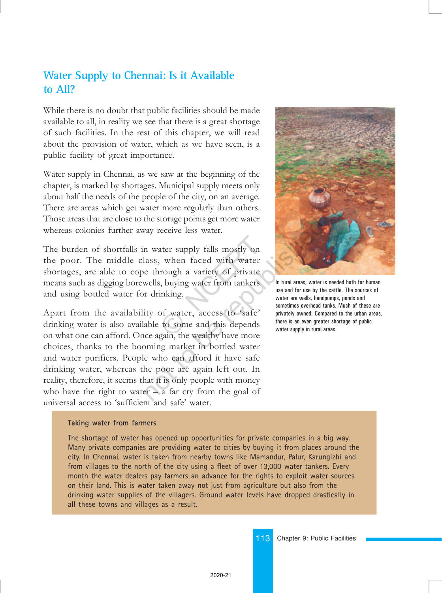#### **Water Supply to Chennai: Is it Available to All?**

While there is no doubt that public facilities should be made available to all, in reality we see that there is a great shortage of such facilities. In the rest of this chapter, we will read about the provision of water, which as we have seen, is a public facility of great importance.

Water supply in Chennai, as we saw at the beginning of the chapter, is marked by shortages. Municipal supply meets only about half the needs of the people of the city, on an average. There are areas which get water more regularly than others. Those areas that are close to the storage points get more water whereas colonies further away receive less water.

The burden of shortfalls in water supply falls mostly on the poor. The middle class, when faced with water shortages, are able to cope through a variety of private means such as digging borewells, buying water from tankers and using bottled water for drinking. ater supply falls mostly on<br>
when faced with water<br>
rough a variety of private<br>
is, buying water from tankers<br>
inking.<br>
of water, access to 'safe'<br>
to some and this depends<br>
oain the wealthy have more

Apart from the availability of water, access to 'safe' drinking water is also available to some and this depends on what one can afford. Once again, the wealthy have more choices, thanks to the booming market in bottled water and water purifiers. People who can afford it have safe drinking water, whereas the poor are again left out. In reality, therefore, it seems that it is only people with money who have the right to water  $-\alpha$  far cry from the goal of universal access to 'sufficient and safe' water. the storage points get more water<br>
vay receive less water.<br>
n water supply falls mostly on<br>
lass, when faced with water<br>
e through a variety of private<br>
wells, buying water from tankers<br>
r drinking.<br>
ity of water, access t



The shortage of water has opened up opportunities for private companies in a big way. Many private companies are providing water to cities by buying it from places around the city. In Chennai, water is taken from nearby towns like Mamandur, Palur, Karungizhi and from villages to the north of the city using a fleet of over 13,000 water tankers. Every month the water dealers pay farmers an advance for the rights to exploit water sources on their land. This is water taken away not just from agriculture but also from the drinking water supplies of the villagers. Ground water levels have dropped drastically in all these towns and villages as a result.



In rural areas, water is needed both for human use and for use by the cattle. The sources of water are wells, handpumps, ponds and sometimes overhead tanks. Much of these are privately owned. Compared to the urban areas, there is an even greater shortage of public water supply in rural areas.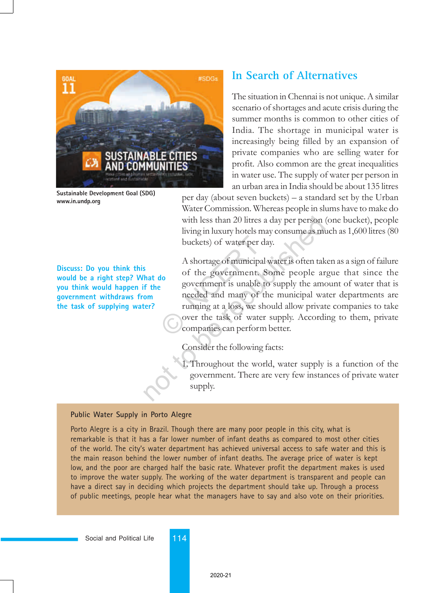

**Sustainable Development Goal (SDG) www.in.undp.org**

**Discuss: Do you think this would be a right step? What do you think would happen if the government withdraws from the task of supplying water?**

#### **In Search of Alternatives**

The situation in Chennai is not unique. A similar scenario of shortages and acute crisis during the summer months is common to other cities of India. The shortage in municipal water is increasingly being filled by an expansion of private companies who are selling water for profit. Also common are the great inequalities in water use. The supply of water per person in an urban area in India should be about 135 litres

per day (about seven buckets)  $-$  a standard set by the Urban Water Commission. Whereas people in slums have to make do with less than 20 litres a day per person (one bucket), people living in luxury hotels may consume as much as 1,600 litres (80 buckets) of water per day.

A shortage of municipal water is often taken as a sign of failure of the government. Some people argue that since the government is unable to supply the amount of water that is needed and many of the municipal water departments are running at a loss, we should allow private companies to take over the task of water supply. According to them, private companies can perform better. buckets) of water per da<br>A shortage of municipal v<br>of the government. S<br>government is unable to<br>needed and many of th<br>running at a loss, we sho<br>over the task of water<br>companies can perform with less than 20 litres a day per person is<br>using in luxury hotels may consume as mu<br>buckets) of water per day.<br>A shortage of municipal water is often tak<br>of the government. Some people are<br>government is unable to supply

Consider the following facts:

1. Throughout the world, water supply is a function of the government. There are very few instances of private water supply.

#### **Public Water Supply in Porto Alegre**

Porto Alegre is a city in Brazil. Though there are many poor people in this city, what is remarkable is that it has a far lower number of infant deaths as compared to most other cities of the world. The city's water department has achieved universal access to safe water and this is the main reason behind the lower number of infant deaths. The average price of water is kept low, and the poor are charged half the basic rate. Whatever profit the department makes is used to improve the water supply. The working of the water department is transparent and people can have a direct say in deciding which projects the department should take up. Through a process of public meetings, people hear what the managers have to say and also vote on their priorities.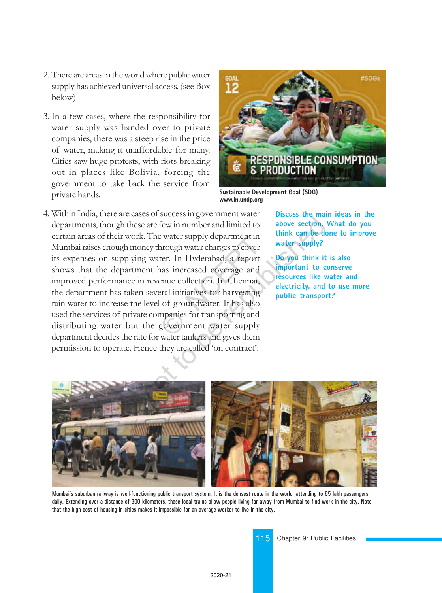- 2. There are areas in the world where public water supply has achieved universal access. (see Box below)
- 3. In a few cases, where the responsibility for water supply was handed over to private companies, there was a steep rise in the price of water, making it unaffordable for many. Cities saw huge protests, with riots breaking out in places like Bolivia, forcing the government to take back the service from private hands.



**Sustainable Development Goal (SDG) www.in.undp.org**

4. Within India, there are cases of success in government water departments, though these are few in number and limited to certain areas of their work. The water supply department in Mumbai raises enough money through water charges to cover its expenses on supplying water. In Hyderabad, a report shows that the department has increased coverage and improved performance in revenue collection. In Chennai, the department has taken several initiatives for harvesting rain water to increase the level of groundwater. It has also used the services of private companies for transporting and distributing water but the government water supply department decides the rate for water tankers and gives them permission to operate. Hence they are called 'on contract'. Evater supply department in<br>
hrough water charges to cover<br>
ter. In Hyderabad, a report<br>
nas increased coverage and<br>
enue collection. In Chennai,<br>
eral initiatives for harvesting<br>
l of groundwater. It has also<br>
mpanies for example and the setting and the government water supply department in think can be diverse to cover<br>g water. In Hyderabad, a report water supply?<br>g water. In Hyderabad, a report bo you think it<br>ent has increased coverage a

**Discuss the main ideas in the above section. What do you think can be done to improve water supply?**

**Do you think it is also important to conserve resources like water and electricity, and to use more public transport?**



Mumbaiís suburban railway is well-functioning public transport system. It is the densest route in the world, attending to 65 lakh passengers daily. Extending over a distance of 300 kilometers, these local trains allow people living far away from Mumbai to find work in the city. Note that the high cost of housing in cities makes it impossible for an average worker to live in the city.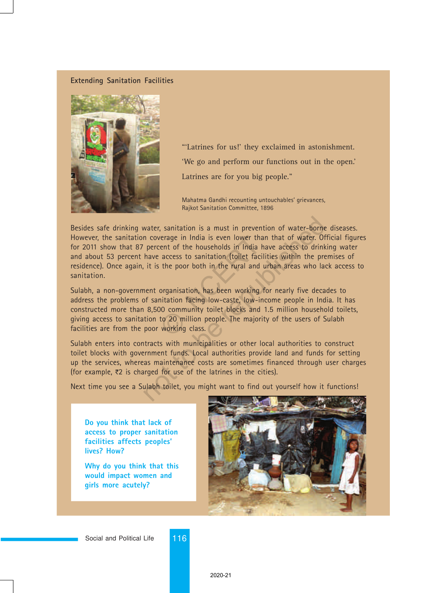#### **Extending Sanitation Facilities**



"'Latrines for us!' they exclaimed in astonishment. 'We go and perform our functions out in the open.' Latrines are for you big people."

Mahatma Gandhi recounting untouchables' grievances, Rajkot Sanitation Committee, 1896

Besides safe drinking water, sanitation is a must in prevention of water-borne diseases. However, the sanitation coverage in India is even lower than that of water. Official figures for 2011 show that 87 percent of the households in India have access to drinking water and about 53 percent have access to sanitation (toilet facilities within the premises of residence). Once again, it is the poor both in the rural and urban areas who lack access to sanitation. water, sanitation is a must in prevention of water-borne<br>n coverage in India is even lower than that of water. Of<br>percent of the households in India have access to drink<br>have access to sanitation (toilet facilities within

Sulabh, a non-government organisation, has been working for nearly five decades to address the problems of sanitation facing low-caste, low-income people in India. It has constructed more than 8,500 community toilet blocks and 1.5 million household toilets, giving access to sanitation to 20 million people. The majority of the users of Sulabh facilities are from the poor working class. Provide in India is even lower than<br>
ent of the households in India ha<br>
access to sanitation (toilet facilit<br>
the poor both in the rural and ur<br>
organisation, has been working fo<br>
organisation, has been working fo<br>
organis

Sulabh enters into contracts with municipalities or other local authorities to construct toilet blocks with government funds. Local authorities provide land and funds for setting up the services, whereas maintenance costs are sometimes financed through user charges (for example,  $\overline{z}2$  is charged for use of the latrines in the cities).

Next time you see a Sulabh toilet, you might want to find out yourself how it functions!

**Do you think that lack of access to proper sanitation facilities affects peoples' lives? How?**

**Why do you think that this would impact women and girls more acutely?**

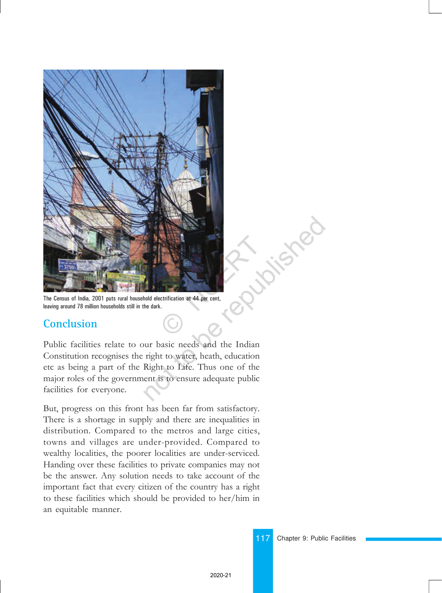

The Census of India, 2001 puts rural household electrification at 44 per cent, leaving around 78 million households still in the dark.

#### **Conclusion**

Public facilities relate to our basic needs and the Indian Constitution recognises the right to water, heath, education etc as being a part of the Right to Life. Thus one of the major roles of the government is to ensure adequate public facilities for everyone.

But, progress on this front has been far from satisfactory. There is a shortage in supply and there are inequalities in distribution. Compared to the metros and large cities, towns and villages are under-provided. Compared to wealthy localities, the poorer localities are under-serviced. Handing over these facilities to private companies may not be the answer. Any solution needs to take account of the important fact that every citizen of the country has a right to these facilities which should be provided to her/him in an equitable manner.

117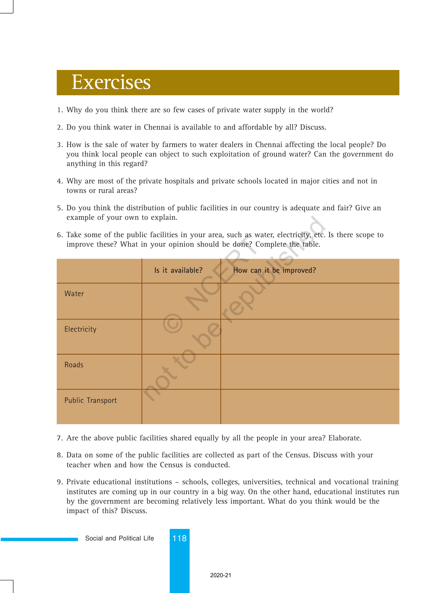## Exercises

- 1. Why do you think there are so few cases of private water supply in the world?
- 2. Do you think water in Chennai is available to and affordable by all? Discuss.
- 3. How is the sale of water by farmers to water dealers in Chennai affecting the local people? Do you think local people can object to such exploitation of ground water? Can the government do anything in this regard?
- 4. Why are most of the private hospitals and private schools located in major cities and not in towns or rural areas?
- 5. Do you think the distribution of public facilities in our country is adequate and fair? Give an example of your own to explain.
- 6. Take some of the public facilities in your area, such as water, electricity, etc. Is there scope to improve these? What in your opinion should be done? Complete the table.

| example of your own to explain.                                                                                                                                                   |                  |                         |
|-----------------------------------------------------------------------------------------------------------------------------------------------------------------------------------|------------------|-------------------------|
| 6. Take some of the public facilities in your area, such as water, electricity, etc. Is there scope to<br>improve these? What in your opinion should be done? Complete the table. |                  |                         |
|                                                                                                                                                                                   | Is it available? | How can it be improved? |
| Water                                                                                                                                                                             |                  |                         |
| Electricity                                                                                                                                                                       |                  |                         |
| <b>Roads</b>                                                                                                                                                                      |                  |                         |
| <b>Public Transport</b>                                                                                                                                                           |                  |                         |

- 7. Are the above public facilities shared equally by all the people in your area? Elaborate.
- 8. Data on some of the public facilities are collected as part of the Census. Discuss with your teacher when and how the Census is conducted.
- 9. Private educational institutions schools, colleges, universities, technical and vocational training institutes are coming up in our country in a big way. On the other hand, educational institutes run by the government are becoming relatively less important. What do you think would be the impact of this? Discuss.